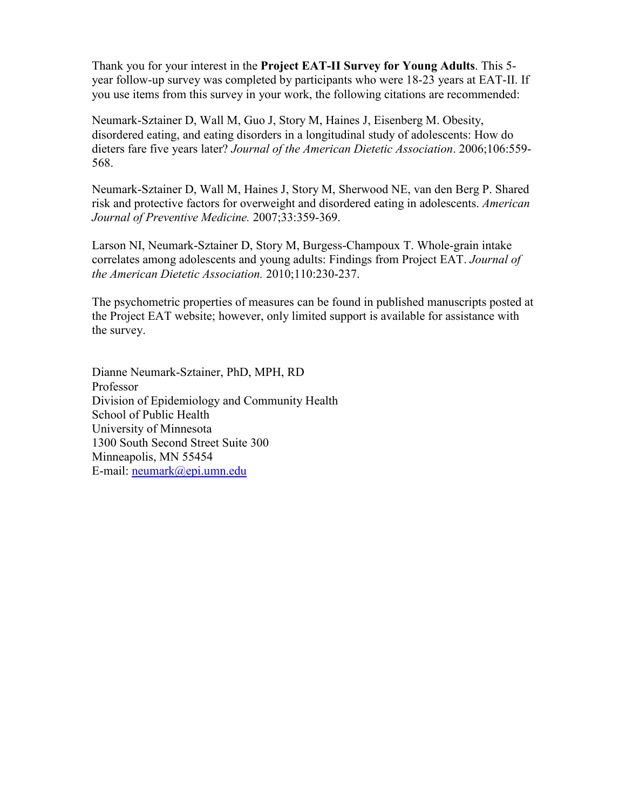Thank you for your interest in the **Project EAT-II Survey for Young Adults**. This 5 year follow-up survey was completed by participants who were 18-23 years at EAT-II. If you use items from this survey in your work, the following citations are recommended:

Neumark-Sztainer D, Wall M, Guo J, Story M, Haines J, Eisenberg M. Obesity, disordered eating, and eating disorders in a longitudinal study of adolescents: How do dieters fare five years later? *Journal of the American Dietetic Association*. 2006;106:559- 568.

Neumark-Sztainer D, Wall M, Haines J, Story M, Sherwood NE, van den Berg P. Shared risk and protective factors for overweight and disordered eating in adolescents. *American Journal of Preventive Medicine.* 2007;33:359-369.

Larson NI, Neumark-Sztainer D, Story M, Burgess-Champoux T. Whole-grain intake correlates among adolescents and young adults: Findings from Project EAT. *Journal of the American Dietetic Association.* 2010;110:230-237.

The psychometric properties of measures can be found in published manuscripts posted at the Project EAT website; however, only limited support is available for assistance with the survey.

Dianne Neumark-Sztainer, PhD, MPH, RD Professor Division of Epidemiology and Community Health School of Public Health University of Minnesota 1300 South Second Street Suite 300 Minneapolis, MN 55454 E-mail: [neumark@epi.umn.edu](mailto:neumark@epi.umn.edu)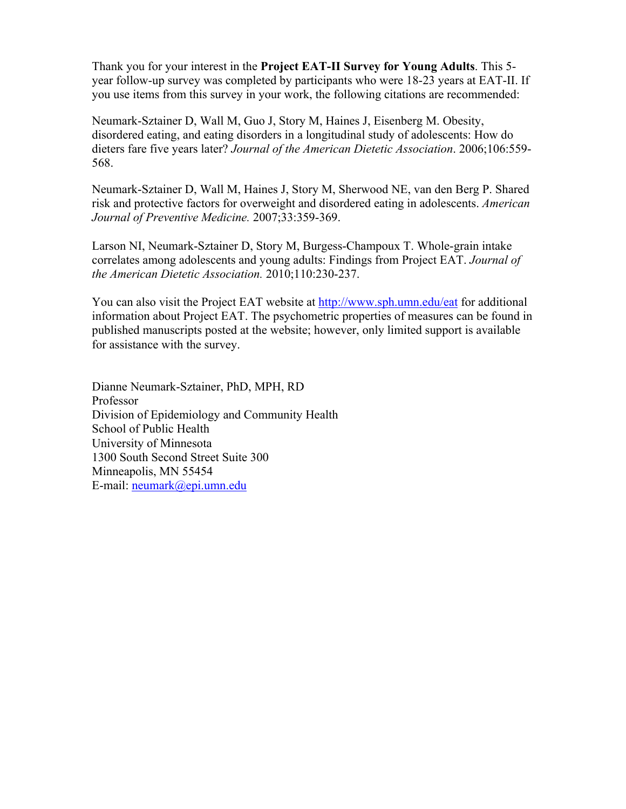Thank you for your interest in the **Project EAT-II Survey for Young Adults**. This 5 year follow-up survey was completed by participants who were 18-23 years at EAT-II. If you use items from this survey in your work, the following citations are recommended:

Neumark-Sztainer D, Wall M, Guo J, Story M, Haines J, Eisenberg M. Obesity, disordered eating, and eating disorders in a longitudinal study of adolescents: How do dieters fare five years later? *Journal of the American Dietetic Association*. 2006;106:559- 568.

Neumark-Sztainer D, Wall M, Haines J, Story M, Sherwood NE, van den Berg P. Shared risk and protective factors for overweight and disordered eating in adolescents. *American Journal of Preventive Medicine.* 2007;33:359-369.

Larson NI, Neumark-Sztainer D, Story M, Burgess-Champoux T. Whole-grain intake correlates among adolescents and young adults: Findings from Project EAT. *Journal of the American Dietetic Association.* 2010;110:230-237.

You can also visit the Project EAT website at http://www.sph.umn.edu/eat for additional information about Project EAT. The psychometric properties of measures can be found in published manuscripts posted at the website; however, only limited support is available for assistance with the survey.

Dianne Neumark-Sztainer, PhD, MPH, RD Professor Division of Epidemiology and Community Health School of Public Health University of Minnesota 1300 South Second Street Suite 300 Minneapolis, MN 55454 E-mail: neumark@epi.umn.edu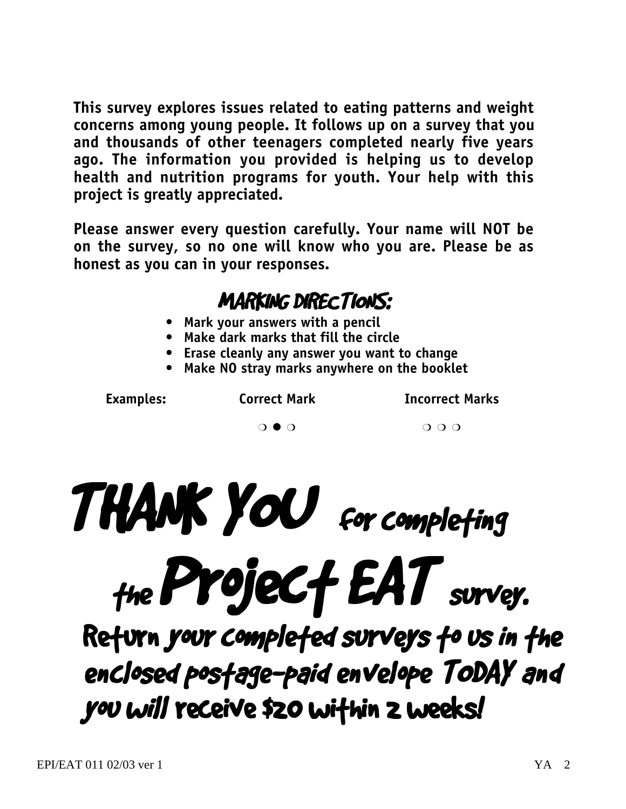**This survey explores issues related to eating patterns and weight concerns among young people. It follows up on a survey that you and thousands of other teenagers completed nearly five years ago. The information you provided is helping us to develop health and nutrition programs for youth. Your help with this project is greatly appreciated.**

**Please answer every question carefully. Your name will NOT be on the survey, so no one will know who you are. Please be as honest as you can in your responses.**

### MARKING DIRECTIONS:

- **Mark your answers with a pencil**
- **Make dark marks that fill the circle**
- **Erase cleanly any answer you want to change**
- **Make NO stray marks anywhere on the booklet**

Examples: Correct Mark **Incorrect Marks** 

 $\begin{array}{ccc} & & & \circ & \circ & \circ \circ \circ \end{array}$ 



Return your completed surveys to us in the enclosed postage-paid envelope TODAY and you will receive \$20 within 2 weeks!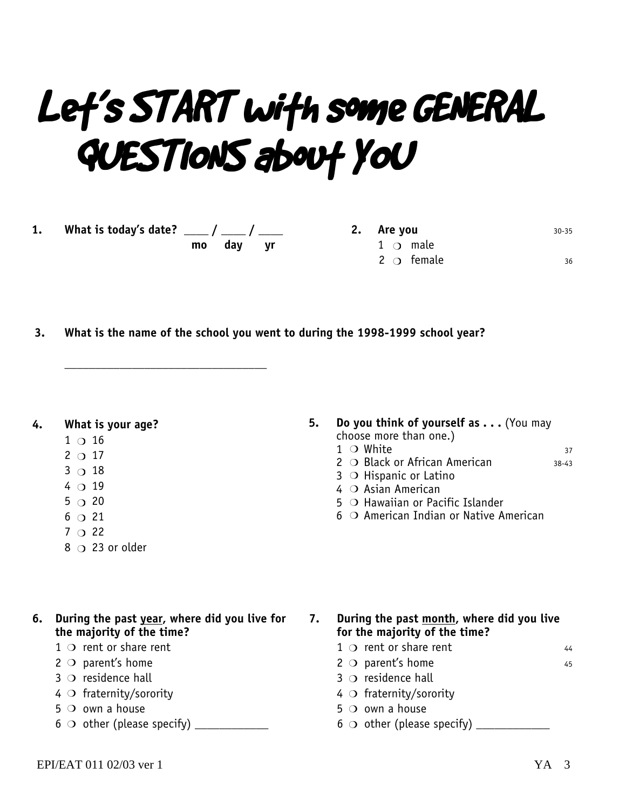# Let's START with some GENERAL QUESTIONS about YOU

**1. What is today's date? \_\_\_\_ / \_\_\_\_ / \_\_\_\_ mo day yr**

**\_\_\_\_\_\_\_\_\_\_\_\_\_\_\_\_\_\_\_\_\_\_\_\_\_\_\_\_\_\_\_\_\_**

**2.** Are you **30-35**  $1$   $\circ$  male  $2 \bigcirc$  female  $36$ 

**3. What is the name of the school you went to during the 1998-1999 school year?**

**4. What is your age?**

- $1$  O  $16$
- $2^{\circ}$  17
- $3^\circ$  18
- $4$  O 19
- $5^\circ$  20
- $6^\circ$  21
- $7^\circ$  22
- 8  $\circ$  23 or older
- **5. Do you think of yourself as . . .** (You may choose more than one.)  $1$  O White  $37$ 
	- 2 O Black or African American 38-43
	- $3$   $\circ$  Hispanic or Latino
	- 4 O Asian American
	- $5$   $\circ$  Hawaiian or Pacific Islander
	- 6 O American Indian or Native American

- **6. During the past year, where did you live for the majority of the time?**
	- $1$   $\circ$  rent or share rent
	- $2$   $\circ$  parent's home
	- $3$   $\circ$  residence hall
	- 4 O fraternity/sorority
	- $5$  O own a house
	- 6 other (please specify) \_\_\_\_\_\_\_\_\_\_\_\_ m

**7. During the past month, where did you live for the majority of the time?**

- $1 \circ$  rent or share rent  $44$
- $2 \circ p$  parent's home 45
- $3$   $\circ$  residence hall
- $4$  O fraternity/sorority
- $5$   $\circ$  own a house
- 6 other (please specify) \_\_\_\_\_\_\_\_\_\_\_\_ m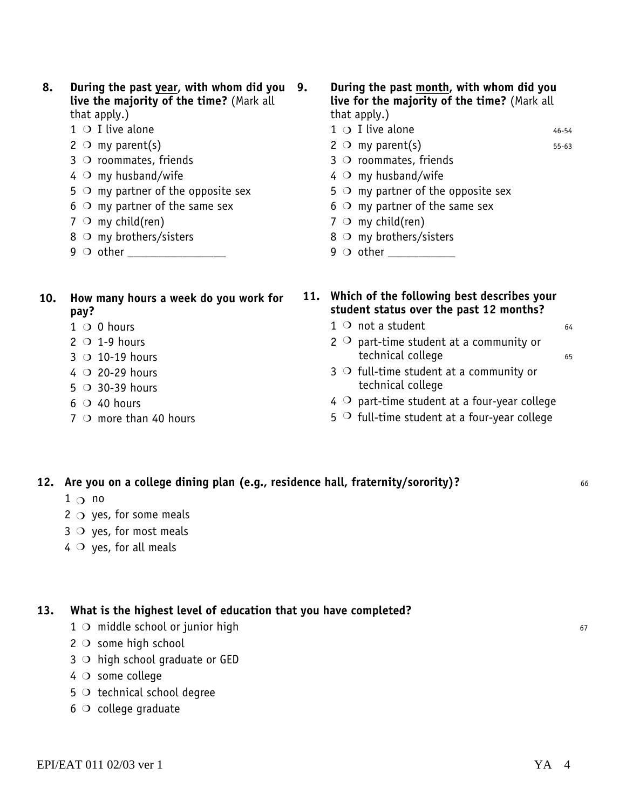- **8. During the past year, with whom did you live the majority of the time?** (Mark all that apply.)
	- $1$  O I live alone
	- $2 \circ m$ y parent(s)
	- $3$   $\circ$  roommates, friends
	- $4$   $\circ$  my husband/wife
	- $5$   $\circ$  my partner of the opposite sex
	- $6$   $\circ$  my partner of the same sex
	- $7 \circ m$ y child(ren)
	- $8$   $\circ$  my brothers/sisters
	- 9 other \_\_\_\_\_\_\_\_\_\_\_\_\_\_\_\_ m
- **10. How many hours a week do you work for pay?**
	- $1$  O 0 hours
	- $2 \circ 1$ -9 hours
	- $3$  O 10-19 hours
	- $4$  O 20-29 hours
	- $5$   $\circ$  30-39 hours
	- $6$  O 40 hours
	- $7$   $\circ$  more than 40 hours

#### **9. During the past month, with whom did you live for the majority of the time?** (Mark all that apply.)

- $1 \circ I$  live alone  $46-54$
- $2 \circ m$  my parent(s) 55-63
- $3$  O roommates, friends
- $4$   $\circ$  my husband/wife
- $5$   $\circ$  my partner of the opposite sex
- $6$   $\circ$  my partner of the same sex
- $7 \circ m$ y child(ren)
- $8$   $\circ$  my brothers/sisters
- 9 other \_\_\_\_\_\_\_\_\_\_\_ m
- **11. Which of the following best describes your student status over the past 12 months?**
	- $1$  O not a student 64
	- 2  $\overline{O}$  part-time student at a community or technical college 65
	- $3$   $\circ$  full-time student at a community or technical college
	- $4$   $\circ$  part-time student at a four-year college
	- $5^{\circ}$  full-time student at a four-year college
- **12. Are you on a college dining plan (e.g., residence hall, fraternity/sorority)?** <sup>66</sup>
	- $1^\circ$  no
	- $2 \circ$  yes, for some meals
	- $3$   $\circ$  yes, for most meals
	- $4 \circ$  yes, for all meals

#### **13. What is the highest level of education that you have completed?**

- 1 O middle school or junior high 67
- $2$   $\circ$  some high school
- $3$   $\circ$  high school graduate or GED
- $4$   $\circ$  some college
- $5$   $\circ$  technical school degree
- $6$   $\circ$  college graduate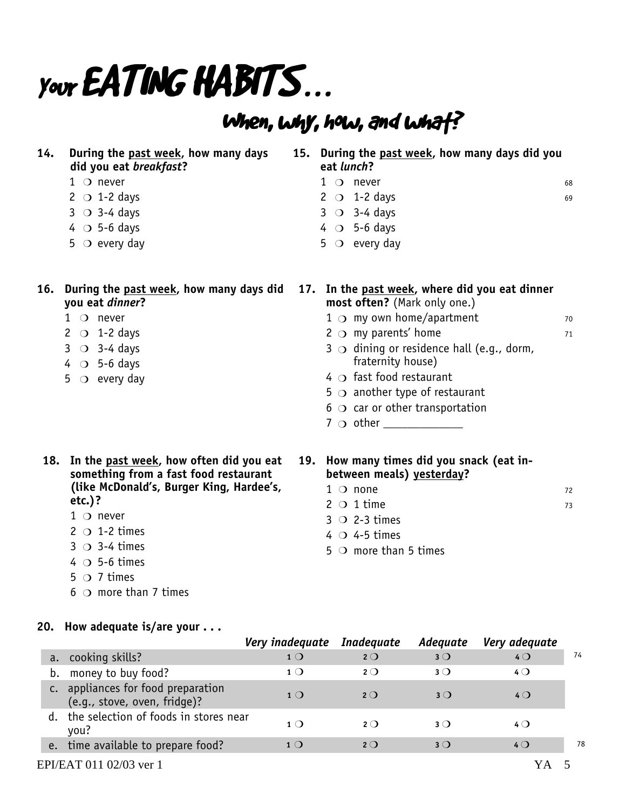# Your **EATING HABITS...**

**14. During the past week, how many days**

## When, why, how, and what?

**15. During the past week, how many days did you**

|                | did you eat <i>breakfast</i> ?                                                                                                                                                                                                                                                                  |                 | eat lunch? |                                                                                                                         |                                                                        |                                                |          |
|----------------|-------------------------------------------------------------------------------------------------------------------------------------------------------------------------------------------------------------------------------------------------------------------------------------------------|-----------------|------------|-------------------------------------------------------------------------------------------------------------------------|------------------------------------------------------------------------|------------------------------------------------|----------|
|                | $1$ O never                                                                                                                                                                                                                                                                                     |                 |            | $1$ O never                                                                                                             |                                                                        |                                                | 68       |
|                | $2 \circ 1-2$ days                                                                                                                                                                                                                                                                              |                 |            | 2 $\circ$ 1-2 days                                                                                                      |                                                                        |                                                | 69       |
|                | $3 \circ 3-4$ days                                                                                                                                                                                                                                                                              |                 |            | $3 \circ 3-4$ days                                                                                                      |                                                                        |                                                |          |
|                | $4$ O 5-6 days                                                                                                                                                                                                                                                                                  |                 |            | $4$ O 5-6 days                                                                                                          |                                                                        |                                                |          |
|                | $5$ $\circ$ every day                                                                                                                                                                                                                                                                           |                 |            | $5 \circ$ every day                                                                                                     |                                                                        |                                                |          |
| 16.            | During the past week, how many days did<br>you eat dinner?                                                                                                                                                                                                                                      |                 |            |                                                                                                                         | most often? (Mark only one.)                                           | 17. In the past week, where did you eat dinner |          |
|                | $1$ O never                                                                                                                                                                                                                                                                                     |                 |            |                                                                                                                         | $1 \circ$ my own home/apartment                                        |                                                | 70       |
|                | $2 \circ 1-2$ days                                                                                                                                                                                                                                                                              |                 |            | 2 $\bigcirc$ my parents' home                                                                                           |                                                                        |                                                | 71       |
|                | $3 \circ 3-4$ days                                                                                                                                                                                                                                                                              |                 |            |                                                                                                                         | $3$ $\circ$ dining or residence hall (e.g., dorm,                      |                                                |          |
|                | $4$ O 5-6 days                                                                                                                                                                                                                                                                                  |                 |            | fraternity house)                                                                                                       |                                                                        |                                                |          |
|                | $5 \circ$ every day                                                                                                                                                                                                                                                                             |                 |            | $4 \circ$ fast food restaurant                                                                                          |                                                                        |                                                |          |
|                |                                                                                                                                                                                                                                                                                                 |                 |            |                                                                                                                         | 5 $\bigcirc$ another type of restaurant                                |                                                |          |
|                |                                                                                                                                                                                                                                                                                                 |                 |            |                                                                                                                         | $6$ $\circ$ car or other transportation                                |                                                |          |
|                |                                                                                                                                                                                                                                                                                                 |                 |            |                                                                                                                         |                                                                        |                                                |          |
|                | 18. In the past week, how often did you eat<br>something from a fast food restaurant<br>(like McDonald's, Burger King, Hardee's,<br>etc. $)$ ?<br>$1$ $\circ$ never<br>2 $\circ$ 1-2 times<br>$3 \circ 3-4$ times<br>$4 \circ 5$ -6 times<br>$5 \circ 7$ times<br>$6$ $\circ$ more than 7 times |                 |            | $1$ $\circ$ none<br>$2 \circ 1$ time<br>$3 \circ 2 - 3$ times<br>$4 \circ 4 - 5$ times<br>$5$ $\circ$ more than 5 times | 19. How many times did you snack (eat in-<br>between meals) yesterday? |                                                | 72<br>73 |
|                | 20. How adequate is/are your $\ldots$                                                                                                                                                                                                                                                           | Very inadequate |            | <b>Inadequate</b>                                                                                                       | Adequate                                                               | Very adequate                                  |          |
| a.             | cooking skills?                                                                                                                                                                                                                                                                                 | $1^{\circ}$     |            | $2^{\circ}$                                                                                                             | $3^{\circ}$                                                            | 40                                             | 74       |
| b.             | money to buy food?                                                                                                                                                                                                                                                                              | 1 <sub>O</sub>  |            | $2^{\circ}$                                                                                                             | $3^{\circ}$                                                            | $4^{\circ}$                                    |          |
| $\mathsf{C}$ . |                                                                                                                                                                                                                                                                                                 |                 |            |                                                                                                                         |                                                                        |                                                |          |
|                | appliances for food preparation<br>(e.g., stove, oven, fridge)?                                                                                                                                                                                                                                 | 1 <sub>O</sub>  |            | $2^{\circ}$                                                                                                             | $3^{\circ}$                                                            | $4^{\circ}$                                    |          |

e. time available to prepare food?  $10$  m  $20$   $30$   $40$ 

- EPI/EAT 011 02/03 ver 1 YA 5
	-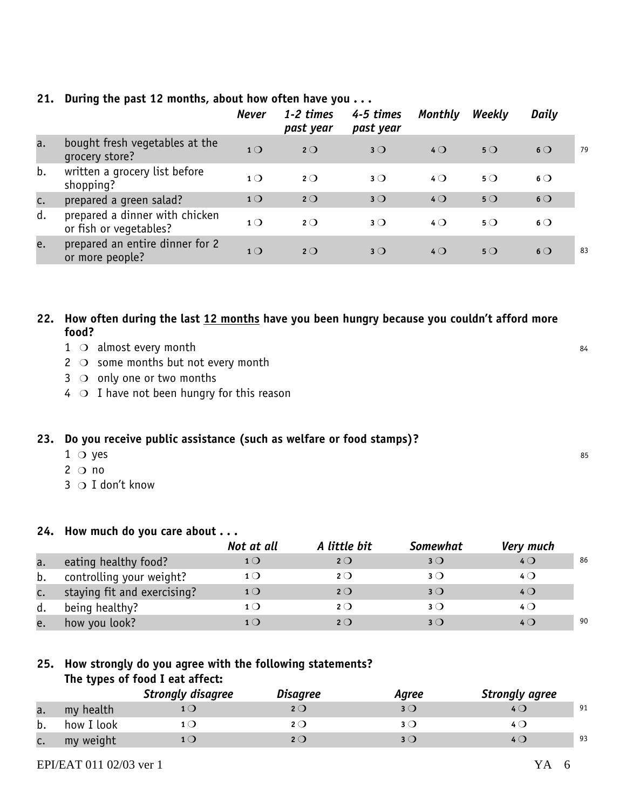|    |                                                          | <b>Never</b>   | 1-2 times<br>past year | 4-5 times<br>past year | <b>Monthly</b> | Weekly      | Daily          |    |
|----|----------------------------------------------------------|----------------|------------------------|------------------------|----------------|-------------|----------------|----|
| a. | bought fresh vegetables at the<br>grocery store?         | 1 <sub>O</sub> | $2^{\circ}$            | $3^{\circ}$            | $4$ $\bigcirc$ | $5^{\circ}$ | $6\circ$       | 79 |
| b. | written a grocery list before<br>shopping?               | 1 <sub>O</sub> | $2^{\circ}$            | $3^{\circ}$            | $4$ $\bigcirc$ | $5^{\circ}$ | $6$ $\bigcirc$ |    |
| c. | prepared a green salad?                                  | 1 <sup>O</sup> | $2^{\circ}$            | $3^{\circ}$            | $4$ $\bigcirc$ | $5^{\circ}$ | $6\circ$       |    |
| d. | prepared a dinner with chicken<br>or fish or vegetables? | 1 <sub>O</sub> | $2^{\circ}$            | $3^{\circ}$            | $4\circ$       | $5^{\circ}$ | $6$ $\bigcirc$ |    |
| e. | prepared an entire dinner for 2<br>or more people?       | 1 <sub>O</sub> | $2^{\circ}$            | $3^{\circ}$            | $4$ $\bigcirc$ | $5^{\circ}$ | $6\circ$       | 83 |

#### **21. During the past 12 months, about how often have you . . .**

#### **22. How often during the last 12 months have you been hungry because you couldn't afford more food?**

- 1 almost every month 84
- $2$   $\circ$  some months but not every month
- $3$   $\bigcirc$  only one or two months
- $4 \circ I$  have not been hungry for this reason

#### **23. Do you receive public assistance (such as welfare or food stamps)?**

- $1 \circ y$ es  $35$  $1$   $\circ$  yes
- $2^{\circ}$  no
- 3 O I don't know

#### **24. How much do you care about . . .**

|    |                             | Not at all          | A little bit | <b>Somewhat</b> | Very much      |    |
|----|-----------------------------|---------------------|--------------|-----------------|----------------|----|
| a. | eating healthy food?        | $1$ $\bigcirc$      | $2^{\circ}$  | $3^{\circ}$     | $4$ $\bigcirc$ | 86 |
| b. | controlling your weight?    | 1 <sub>O</sub>      | 2O           | $3$ $\bigcirc$  | $4$ $\bigcirc$ |    |
| c. | staying fit and exercising? | $1\circlearrowleft$ | $2^{\circ}$  | $3^{\circ}$     | $4$ $\bigcirc$ |    |
| d. | being healthy?              | 1()                 | $2^{\circ}$  | $3$ $\bigcirc$  | $4$ $\bigcirc$ |    |
| e. | how you look?               |                     | 2()          | $3$ $\bigcirc$  | $4$ $\Omega$   | 90 |

#### **25. How strongly do you agree with the following statements? The types of food I eat affect:**

|    |            | <b>Strongly disagree</b> | Disagree | Agree | <b>Strongly agree</b> |    |
|----|------------|--------------------------|----------|-------|-----------------------|----|
| a. | my health  |                          |          | 3 O   |                       | 91 |
| b. | how I look |                          | . נ      |       |                       |    |
| c. | my weight  |                          |          | २ ( ) |                       | 93 |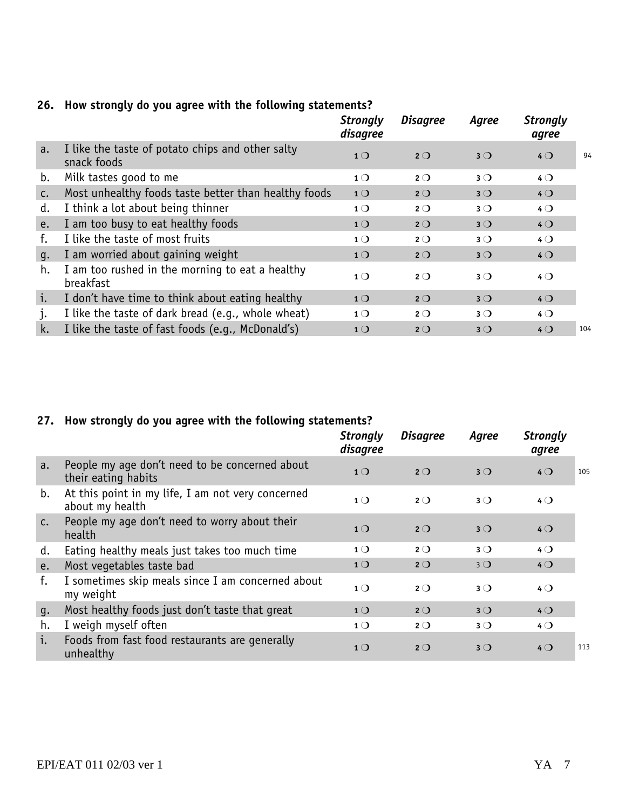|    |                                                                 | <b>Strongly</b><br>disagree | <b>Disagree</b> | Agree       | <b>Strongly</b><br>agree |     |
|----|-----------------------------------------------------------------|-----------------------------|-----------------|-------------|--------------------------|-----|
| a. | I like the taste of potato chips and other salty<br>snack foods | 1 <sub>O</sub>              | $2^{\circ}$     | $3^{\circ}$ | $4$ $\bigcirc$           | 94  |
| b. | Milk tastes good to me                                          | $1^{\circ}$                 | $2^{\circ}$     | $3^{\circ}$ | $4$ $\bigcirc$           |     |
| C. | Most unhealthy foods taste better than healthy foods            | 1 <sup>O</sup>              | $2^{\circ}$     | $3^{\circ}$ | 40                       |     |
| d. | I think a lot about being thinner                               | 1 <sub>O</sub>              | $2^{\circ}$     | $3^{\circ}$ | $4\circ$                 |     |
| e. | I am too busy to eat healthy foods                              | 1 <sub>O</sub>              | $2^{\circ}$     | $3^{\circ}$ | 40                       |     |
| f. | I like the taste of most fruits                                 | $1^{\circ}$                 | $2^{\circ}$     | $3^{\circ}$ | $4\circ$                 |     |
| g. | I am worried about gaining weight                               | 1 <sup>O</sup>              | $2^{\circ}$     | $3^{\circ}$ | $4$ $\bigcirc$           |     |
| h. | I am too rushed in the morning to eat a healthy<br>breakfast    | $1^{\circ}$                 | $2^{\circ}$     | $3^{\circ}$ | $4$ $\bigcirc$           |     |
| i. | I don't have time to think about eating healthy                 | 1 <sub>O</sub>              | $2^{\circ}$     | $3^{\circ}$ | $4$ $\bigcirc$           |     |
| j. | I like the taste of dark bread (e.g., whole wheat)              | $1^{\circ}$                 | $2^{\circ}$     | $3^{\circ}$ | $4$ $\bigcirc$           |     |
| k. | I like the taste of fast foods (e.g., McDonald's)               | 1 <sub>O</sub>              | $2^{\circ}$     | $3^{\circ}$ | $4$ $\bigcirc$           | 104 |

#### **26. How strongly do you agree with the following statements?**

#### **27. How strongly do you agree with the following statements?**

|               |                                                                       | <b>Strongly</b><br>disagree | <b>Disagree</b> | Agree       | <b>Strongly</b><br>agree |     |
|---------------|-----------------------------------------------------------------------|-----------------------------|-----------------|-------------|--------------------------|-----|
| a.            | People my age don't need to be concerned about<br>their eating habits | 1 <sub>O</sub>              | $2^{\circ}$     | $3^{\circ}$ | $4$ $\bigcirc$           | 105 |
| b.            | At this point in my life, I am not very concerned<br>about my health  | $1^{\circ}$                 | $2^{\circ}$     | $3^{\circ}$ | $4\circ$                 |     |
| $C_{\bullet}$ | People my age don't need to worry about their<br>health               | 1 <sub>O</sub>              | $2^{\circ}$     | $3^{\circ}$ | $4$ $\bigcirc$           |     |
| d.            | Eating healthy meals just takes too much time                         | $1^{\circ}$                 | $2^{\circ}$     | $3^{\circ}$ | $4\circ$                 |     |
| e.            | Most vegetables taste bad                                             | 1 <sub>O</sub>              | $2^{\circ}$     | $3^{\circ}$ | $4$ $\bigcirc$           |     |
| f.            | I sometimes skip meals since I am concerned about<br>my weight        | $1^{\circ}$                 | $2^{\circ}$     | $3^{\circ}$ | $4\circ$                 |     |
| g.            | Most healthy foods just don't taste that great                        | 1 <sub>O</sub>              | $2^{\circ}$     | $3^{\circ}$ | $4$ $\bigcirc$           |     |
| h.            | I weigh myself often                                                  | $1^{\circ}$                 | $2^{\circ}$     | $3^{\circ}$ | $4\circ$                 |     |
| i.            | Foods from fast food restaurants are generally<br>unhealthy           | 1 <sub>O</sub>              | $2^{\circ}$     | $3^{\circ}$ | $4$ $\bigcirc$           | 113 |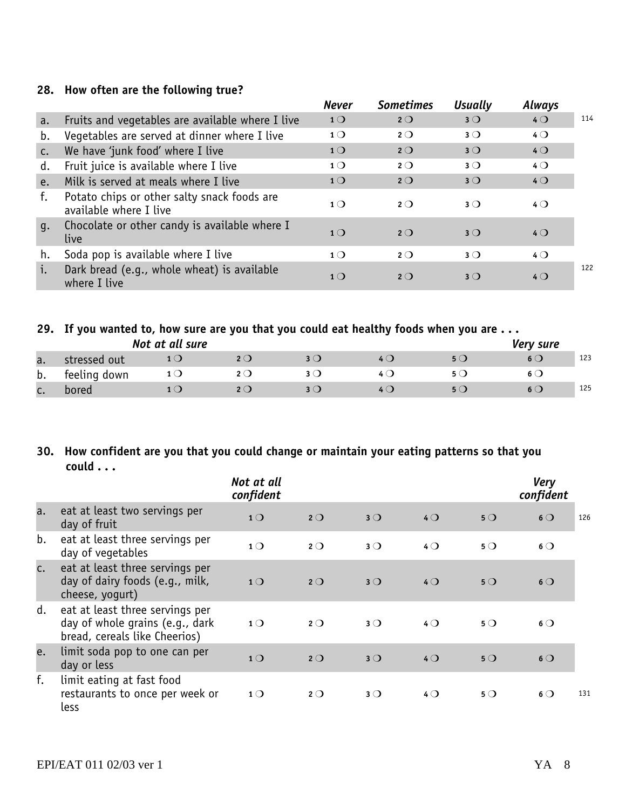#### **28. How often are the following true?**

|    |                                                                       | <b>Never</b>   | <b>Sometimes</b> | <b>Usually</b> | Always         |     |
|----|-----------------------------------------------------------------------|----------------|------------------|----------------|----------------|-----|
| a. | Fruits and vegetables are available where I live                      | 1 <sub>O</sub> | $2^{\circ}$      | $3^{\circ}$    | $4$ $\bigcirc$ | 114 |
| b. | Vegetables are served at dinner where I live                          | 1 <sub>O</sub> | $2^{\circ}$      | $3^{\circ}$    | $4$ $\bigcirc$ |     |
| C. | We have 'junk food' where I live                                      | 1 <sub>O</sub> | $2^{\circ}$      | $3^{\circ}$    | $4$ $\bigcirc$ |     |
| d. | Fruit juice is available where I live                                 | 1 <sub>O</sub> | $2^{\circ}$      | $3^{\circ}$    | $4$ $\bigcirc$ |     |
| e. | Milk is served at meals where I live                                  | 1 <sub>O</sub> | $2^{\circ}$      | $3^{\circ}$    | $4$ $\bigcirc$ |     |
| f. | Potato chips or other salty snack foods are<br>available where I live | 1 <sub>O</sub> | $2^{\circ}$      | $3^{\circ}$    | $4$ $\bigcirc$ |     |
| q. | Chocolate or other candy is available where I<br>live                 | $1\Omega$      | $2^{\circ}$      | $3^{\circ}$    | $4$ $\bigcirc$ |     |
| h. | Soda pop is available where I live                                    | 1 <sub>O</sub> | $2^{\circ}$      | $3^{\circ}$    | $4$ $\bigcirc$ |     |
| i. | Dark bread (e.g., whole wheat) is available<br>where I live           | $1$ $\bigcirc$ | $2^{\circ}$      | $3$ $\bigcirc$ | $4$ $\Omega$   | 122 |

#### **29. If you wanted to, how sure are you that you could eat healthy foods when you are . . .**

|    |              | Not at all sure |     |     |     | Very sure |     |
|----|--------------|-----------------|-----|-----|-----|-----------|-----|
| a. | stressed out |                 | 2 O | 4 ( | 5 Q |           | 123 |
| b. | feeling down |                 |     |     |     |           |     |
| J. | bored        |                 |     |     |     |           | 125 |

#### **30. How confident are you that you could change or maintain your eating patterns so that you could . . .**

|    |                                                                                                     | Not at all<br>confident |             |             |                |             | <b>Very</b><br>confident |
|----|-----------------------------------------------------------------------------------------------------|-------------------------|-------------|-------------|----------------|-------------|--------------------------|
| a. | eat at least two servings per<br>day of fruit                                                       | 1 <sub>O</sub>          | $2^{\circ}$ | $3^{\circ}$ | $4$ $\bigcirc$ | 5Q          | 126<br>$6\circ$          |
| b. | eat at least three servings per<br>day of vegetables                                                | 1 <sub>O</sub>          | $2^{\circ}$ | $3^{\circ}$ | $4^{\circ}$    | $5^{\circ}$ | $6$ $\bigcirc$           |
| c. | eat at least three servings per<br>day of dairy foods (e.g., milk,<br>cheese, yogurt)               | 1 <sup>O</sup>          | $2^{\circ}$ | $3^{\circ}$ | $4$ $\bigcirc$ | 5Q          | $6\circ$                 |
| d. | eat at least three servings per<br>day of whole grains (e.g., dark<br>bread, cereals like Cheerios) | 1 <sub>O</sub>          | $2^{\circ}$ | $3^{\circ}$ | $4\circ$       | $5^{\circ}$ | $6$ $\bigcirc$           |
| e. | limit soda pop to one can per<br>day or less                                                        | 1 <sup>O</sup>          | $2^{\circ}$ | $3^{\circ}$ | $4$ $\bigcirc$ | $5^{\circ}$ | 6O                       |
| f. | limit eating at fast food<br>restaurants to once per week or<br>less                                | $1^{\circ}$             | $2^{\circ}$ | $3^{\circ}$ | $4\circ$       | $5^{\circ}$ | $6$ $\bigcirc$<br>131    |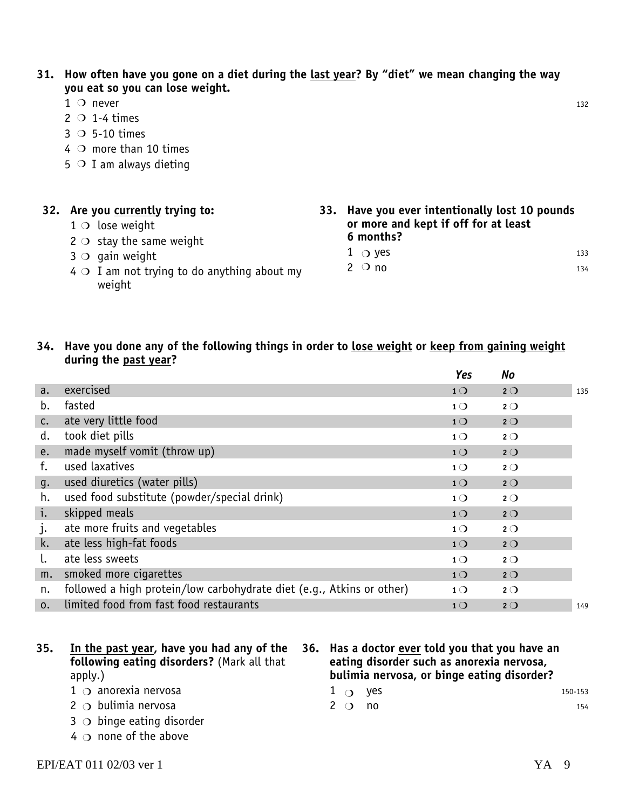**31. How often have you gone on a diet during the last year? By "diet" we mean changing the way you eat so you can lose weight.**

- $1 \circ$  never 132  $1$  O never
- $2 \circ 1-4$  times
- $3$  O 5-10 times
- $4$  O more than 10 times
- $5$  O I am always dieting

| 32. Are you currently trying to:                            |  | 33. Have you ever intentionally lost 10 pounds |     |  |
|-------------------------------------------------------------|--|------------------------------------------------|-----|--|
| $1$ O lose weight                                           |  | or more and kept if off for at least           |     |  |
| $2 \circ$ stay the same weight                              |  | 6 months?                                      |     |  |
| $3$ O gain weight                                           |  | $1 \circ$ yes                                  | 133 |  |
| $4 \circ$ I am not trying to do anything about my<br>weight |  | $2^{\circ}$ no                                 | 134 |  |

#### **34. Have you done any of the following things in order to lose weight or keep from gaining weight during the past year?**

|                |                                                                       | Yes            | No          |     |
|----------------|-----------------------------------------------------------------------|----------------|-------------|-----|
| a.             | exercised                                                             | 1 <sup>O</sup> | $2^{\circ}$ | 135 |
| b.             | fasted                                                                | $1^{\circ}$    | $2^{\circ}$ |     |
| $\mathsf{C}$ . | ate very little food                                                  | 1 <sup>O</sup> | $2^{\circ}$ |     |
| d.             | took diet pills                                                       | 1 <sub>O</sub> | $2^{\circ}$ |     |
| e.             | made myself vomit (throw up)                                          | 1 <sup>O</sup> | $2^{\circ}$ |     |
| f.             | used laxatives                                                        | $1^{\circ}$    | $2^{\circ}$ |     |
| g.             | used diuretics (water pills)                                          | 1 <sub>O</sub> | $2^{\circ}$ |     |
| h.             | used food substitute (powder/special drink)                           | $1^{\circ}$    | $2^{\circ}$ |     |
| i.             | skipped meals                                                         | 1 <sup>O</sup> | $2^{\circ}$ |     |
| $\cdot$        | ate more fruits and vegetables                                        | 1 <sub>O</sub> | $2^{\circ}$ |     |
| k.             | ate less high-fat foods                                               | 1 <sub>O</sub> | $2^{\circ}$ |     |
|                | ate less sweets                                                       | 1 <sub>O</sub> | $2^{\circ}$ |     |
| m.             | smoked more cigarettes                                                | 1 <sup>O</sup> | $2^{\circ}$ |     |
| n.             | followed a high protein/low carbohydrate diet (e.g., Atkins or other) | $1^{\circ}$    | $2^{\circ}$ |     |
| 0.             | limited food from fast food restaurants                               | 1 <sub>O</sub> | $2^{\circ}$ | 149 |

- **35. In the past year, have you had any of the following eating disorders?** (Mark all that apply.)
	- $1$   $\circ$  anorexia nervosa
	- $2$   $\circ$  bulimia nervosa
	- $3$   $\bigcirc$  binge eating disorder
	- $4 \circ$  none of the above
- **36. Has a doctor ever told you that you have an eating disorder such as anorexia nervosa, bulimia nervosa, or binge eating disorder?**
	- $1$   $\bigcirc$  yes 150-153
	- $2$  O no  $154$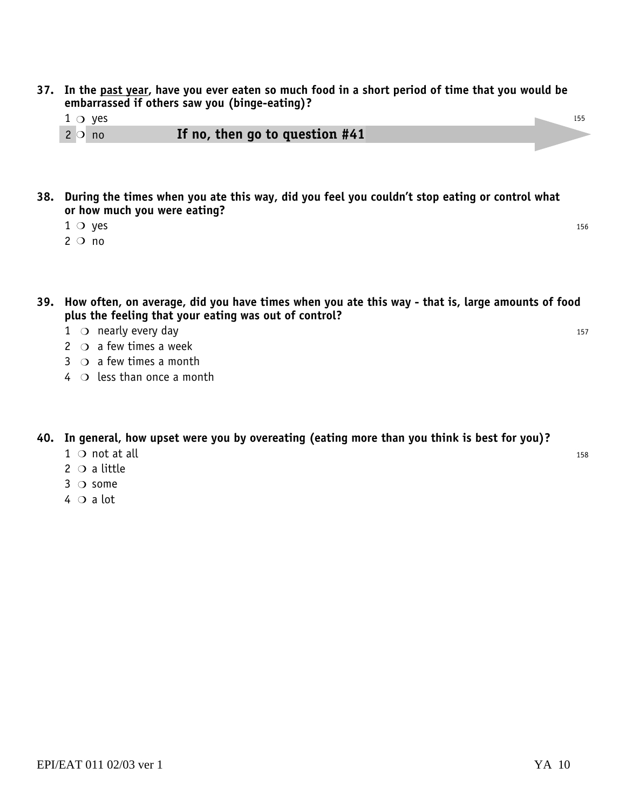- **37. In the past year, have you ever eaten so much food in a short period of time that you would be embarrassed if others saw you (binge-eating)?**
	- $1$   $\circ$  yes
	- 2 no **If no, then go to question #41**  $2$  O no
- **38. During the times when you ate this way, did you feel you couldn't stop eating or control what or how much you were eating?**
	- $1 \circ$  yes 156  $1 \circ$  yes
	- $2^{\circ}$  no
- **39. How often, on average, did you have times when you ate this way that is, large amounts of food plus the feeling that your eating was out of control?**
	- 1 o nearly every day and the set of the set of the set of the set of the set of the set of the set of the set o
	- $2 \circ$  a few times a week
	- $3 \circ$  a few times a month
	- $4 \circ$  less than once a month

#### **40. In general, how upset were you by overeating (eating more than you think is best for you)?**

- $1$  o not at all  $\frac{158}{158}$
- $2$  O a little
- $3$  O some
- $4 \circ a$  lot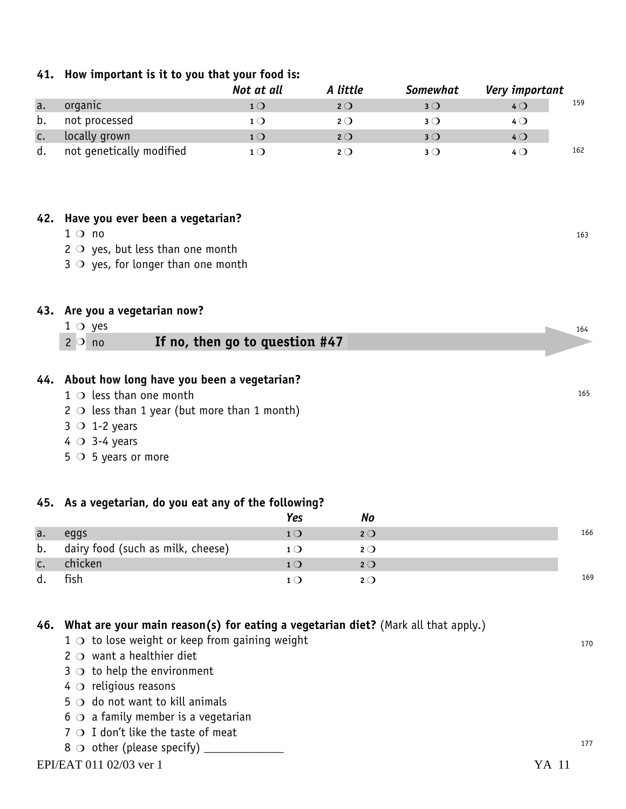#### **41. How important is it to you that your food is:**

|    |                          | Not at all | A little    | <b>Somewhat</b> | Very important |     |
|----|--------------------------|------------|-------------|-----------------|----------------|-----|
| a. | organic                  | $1$ ( )    | 2O          | $3$ (           | $4\circ$       | 159 |
| b. | not processed            | 1 ( )      | $2^{\circ}$ | $3$ (           | 4 Q            |     |
| c. | locally grown            | $1$ ( )    | $2^{\circ}$ | $3$ (           | $4^{\circ}$    |     |
| d. | not genetically modified | 1 ( )      | $2^{\circ}$ | 3 O             | 4 ( )          | 162 |

#### **42. Have you ever been a vegetarian?**

 $1 \circ$  no  $163$  $1 \circ n$ 

 $2 \circ$  yes, but less than one month

 $3$   $\circ$  yes, for longer than one month

#### **43. Are you a vegetarian now?**

 $1$   $\circ$  yes  $2$  O no

#### 1f no, then go to question #47

#### **44. About how long have you been a vegetarian?**

- $1$   $\circ$  less than one month
- $2 \circ$  less than 1 year (but more than 1 month)
- $3$  O 1-2 years
- $4$  O 3-4 years
- $5 \circ 5$  years or more

#### **45. As a vegetarian, do you eat any of the following?**

|    |                                   | Yes | ΝO  |     |
|----|-----------------------------------|-----|-----|-----|
| a. | eggs                              |     | 2O  | 166 |
| b. | dairy food (such as milk, cheese) |     | 2O  |     |
| c. | chicken                           |     | 2O  |     |
| d. | fish                              |     | 2() | 169 |

#### **46. What are your main reason(s) for eating a vegetarian diet?** (Mark all that apply.)

- $1 \circ$  to lose weight or keep from gaining weight
- $2$   $\circ$  want a healthier diet
- $3$   $\circ$  to help the environment
- $4\circ$  religious reasons
- $5 \circ$  do not want to kill animals
- $6$   $\circ$  a family member is a vegetarian
- $7 \circ I$  don't like the taste of meat
- $8 \circ$  other (please specify) \_\_\_\_\_\_\_\_\_\_\_\_\_\_

170

164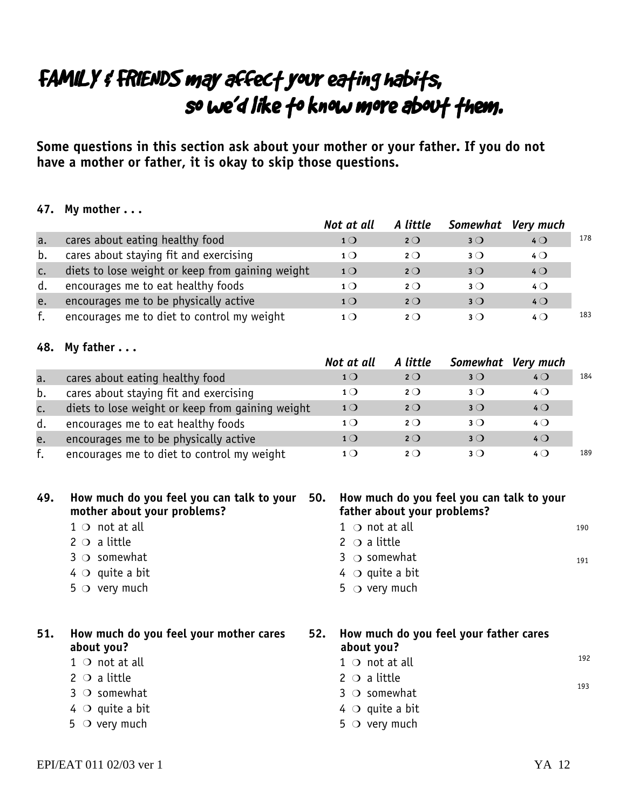## FAMILY & FRIENDS may affect your eating habits, so we'd like to know more about them.

**Some questions in this section ask about your mother or your father. If you do not have a mother or father, it is okay to skip those questions.**

#### **47. My mother . . .**

|                |                                                  | Not at all     | A little    | Somewhat Very much |                |     |
|----------------|--------------------------------------------------|----------------|-------------|--------------------|----------------|-----|
| a.             | cares about eating healthy food                  | $1$ $\bigcirc$ | $2^{\circ}$ | $3$ $\bigcirc$     | $4$ $\bigcirc$ | 178 |
| b.             | cares about staying fit and exercising           | 1()            | $2^{\circ}$ | $3$ $\bigcirc$     | $4\Omega$      |     |
| $\mathsf{C}$ . | diets to lose weight or keep from gaining weight | 1 <sub>O</sub> | $2^{\circ}$ | $3$ $\bigcirc$     | $4\circ$       |     |
| d.             | encourages me to eat healthy foods               | 1 ( )          | $2^{\circ}$ | $3$ $\bigcirc$     | $4\Omega$      |     |
| e.             | encourages me to be physically active            | $1\Omega$      | $2^{\circ}$ | $3$ $\bigcirc$     | $4$ $\bigcirc$ |     |
|                | encourages me to diet to control my weight       |                | 2()         | 3()                | 40             | 183 |

#### **48. My father . . .**

|             |                                                  | Not at all     | A little    | Somewhat Very much |                |     |
|-------------|--------------------------------------------------|----------------|-------------|--------------------|----------------|-----|
| a.          | cares about eating healthy food                  | $1$ $\bigcirc$ | $2^{\circ}$ | $3$ $\bigcirc$     | $4$ $\bigcirc$ | 184 |
| b.          | cares about staying fit and exercising           | 1()            | $2^{\circ}$ | $3$ $\bigcirc$     | $4\circ$       |     |
| $c_{\cdot}$ | diets to lose weight or keep from gaining weight | $1\Omega$      | $2^{\circ}$ | $3$ $\bigcirc$     | $4$ $\bigcirc$ |     |
| d.          | encourages me to eat healthy foods               | $1$ $\bigcirc$ | $2^{\circ}$ | $3$ $\bigcirc$     | $4\circ$       |     |
| e.          | encourages me to be physically active            | $1$ $\bigcirc$ | $2^{\circ}$ | $3$ $\bigcirc$     | $4$ $\bigcirc$ |     |
| f.          | encourages me to diet to control my weight       | $1$ $\bigcirc$ | $2^{\circ}$ | 3()                | $4\Omega$      | 189 |

#### **49. How much do you feel you can talk to your mother about your problems?**  $1 \circ$  not at all 2  $\circ$  a little  $3$  O somewhat  $4\circ$  quite a bit  $5^\circ$  very much **50. How much do you feel you can talk to your father about your problems?**  $1$   $\circ$  not at all 2  $\circ$  a little  $3$   $\circ$  somewhat  $4\circ$  quite a bit  $5$   $\circ$  very much **51. How much do you feel your mother cares about you?**  $1$   $\circ$  not at all  $2 \circ a$  little  $3$  O somewhat  $4$  O quite a bit **52. How much do you feel your father cares about you?**  $1$   $\circ$  not at all  $2 \circ a$  little  $3$  O somewhat  $4$   $\circ$  quite a bit 100 191 192 193

 $5$   $\circ$  very much

 $5$  O very much

EPI/EAT 011 02/03 ver 1 YA 12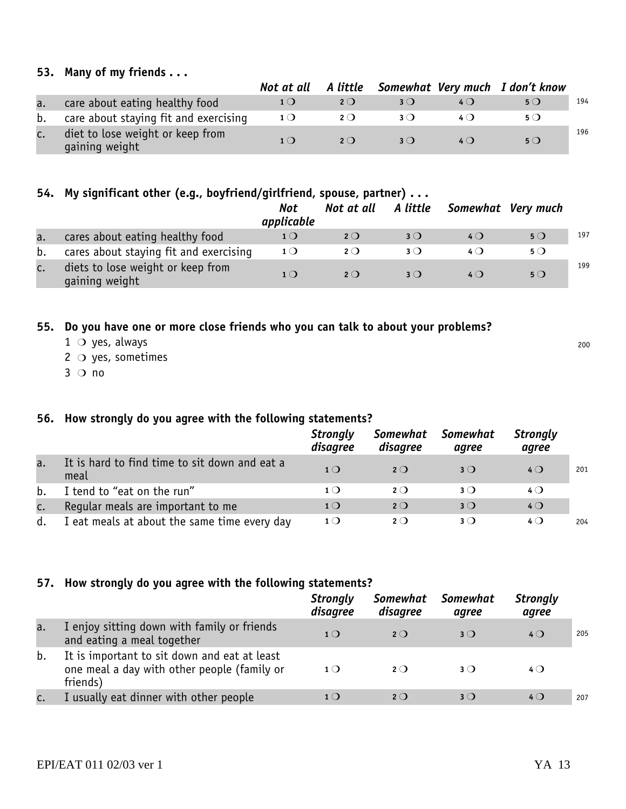#### **53. Many of my friends . . .**

|    |                                                    |                |             |             |       | Not at all A little Somewhat Very much I don't know |     |
|----|----------------------------------------------------|----------------|-------------|-------------|-------|-----------------------------------------------------|-----|
| a. | care about eating healthy food                     | 1()            | $2^{\circ}$ | 3()         | 4 ( ) | $5^{\circ}$                                         | 194 |
| b. | care about staying fit and exercising              | 1 <sub>O</sub> | 2()         | 3()         |       | 5 ( <b>)</b>                                        |     |
| c. | diet to lose weight or keep from<br>gaining weight | 1()            | $2^{\circ}$ | $3^{\circ}$ | 4()   | $5^{\circ}$                                         | 196 |

#### **54. My significant other (e.g., boyfriend/girlfriend, spouse, partner) . . .**

|    |                                                     | Not<br>applicable | Not at all A little |                | Somewhat Very much |             |     |
|----|-----------------------------------------------------|-------------------|---------------------|----------------|--------------------|-------------|-----|
| a. | cares about eating healthy food                     | 1 <sub>O</sub>    | 2()                 | $3$ $\bigcirc$ | 4()                | $5^{\circ}$ | 197 |
| b. | cares about staying fit and exercising              | $1^{\circ}$       | 2O                  | $3$ (          | 4 ( )              | $5^{\circ}$ |     |
|    | diets to lose weight or keep from<br>gaining weight | $1$ $\bigcirc$    | $2^{\circ}$         | $3$ $\bigcirc$ | 4()                | $5^{\circ}$ | 199 |

#### **55. Do you have one or more close friends who you can talk to about your problems?**

- $1$  O yes, always
- $2 \circ$  yes, sometimes
- $3$  O no

#### **56. How strongly do you agree with the following statements?**

|    |                                                       | <b>Strongly</b><br>disagree | Somewhat<br>disagree | Somewhat<br>agree | <b>Strongly</b><br>agree |     |
|----|-------------------------------------------------------|-----------------------------|----------------------|-------------------|--------------------------|-----|
| a. | It is hard to find time to sit down and eat a<br>meal | $1\Omega$                   | $2^{\circ}$          | $3$ $\bigcirc$    | $4\Omega$                | 201 |
| b. | I tend to "eat on the run"                            | $1$ $\bigcirc$              | 2()                  | $3$ $\bigcirc$    | $4\Omega$                |     |
| c. | Regular meals are important to me                     | 1 <sub>O</sub>              | $2^{\circ}$          | $3$ $\bigcirc$    | $4$ $\bigcirc$           |     |
| d. | I eat meals at about the same time every day          | 1()                         | $2^{\circ}$          | 3()               | $4\Omega$                | 204 |

#### **57. How strongly do you agree with the following statements?**

|    |                                                                                                         | <b>Strongly</b><br>disagree | Somewhat<br>disagree | <b>Somewhat</b><br>agree | <b>Strongly</b><br>agree |     |
|----|---------------------------------------------------------------------------------------------------------|-----------------------------|----------------------|--------------------------|--------------------------|-----|
| a. | I enjoy sitting down with family or friends<br>and eating a meal together                               | $1\Omega$                   | $2^{\circ}$          | $3$ (                    | $4\circ$                 | 205 |
| b. | It is important to sit down and eat at least<br>one meal a day with other people (family or<br>friends) | $1$ $\bigcirc$              | 2()                  | 3()                      | 4 Q                      |     |
|    | I usually eat dinner with other people                                                                  | 1()                         | 2()                  | $3$ (                    | $4\Omega$                | 207 |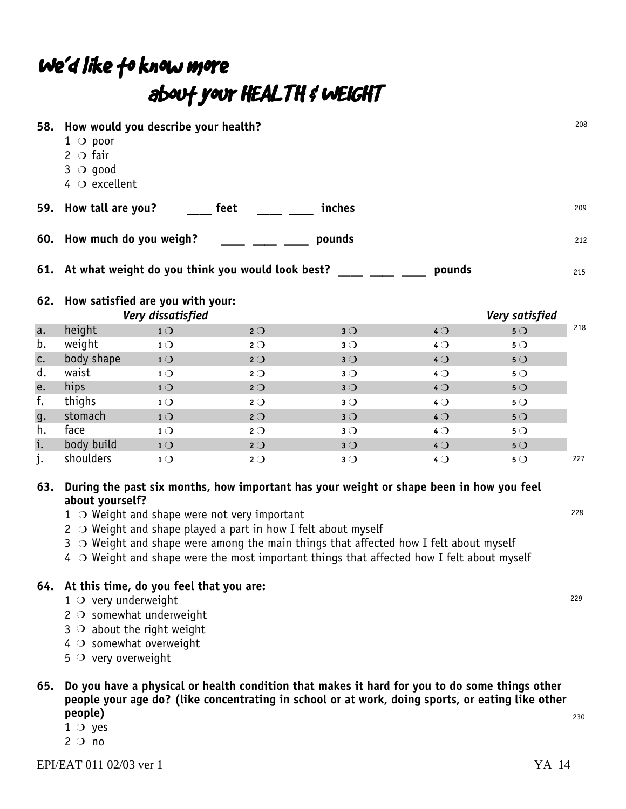## We'd like fo know more about your HEALTH & WEIGHT

| 58.                                                            | How would you describe your health?<br>$1$ $\circ$ poor<br>$2$ O fair<br>$3$ O good<br>$4$ $\circ$ excellent |                |             |                |                |             | 208 |
|----------------------------------------------------------------|--------------------------------------------------------------------------------------------------------------|----------------|-------------|----------------|----------------|-------------|-----|
|                                                                | 59. How tall are you?                                                                                        | feet           |             | inches         |                |             | 209 |
|                                                                | 60. How much do you weigh?                                                                                   |                |             | pounds         |                |             | 212 |
| 61. At what weight do you think you would look best?<br>pounds |                                                                                                              |                |             |                |                |             | 215 |
|                                                                | 62. How satisfied are you with your:<br>Very dissatisfied                                                    |                |             | Very satisfied |                |             |     |
| a.                                                             | height                                                                                                       | 1 <sub>O</sub> | $2^{\circ}$ | $3^{\circ}$    | 40             | 5O          | 218 |
| b.                                                             | weight                                                                                                       | 1 <sub>O</sub> | $2^{\circ}$ | $3^{\circ}$    | $4^{\circ}$    | $5^{\circ}$ |     |
| c.                                                             | body shape                                                                                                   | 10             | $2^{\circ}$ | 3O             | 40             | 50          |     |
| d.                                                             | waist                                                                                                        | $1^{\circ}$    | $2^{\circ}$ | $3^{\circ}$    | $4^{\circ}$    | $5^{\circ}$ |     |
| e.                                                             | hips                                                                                                         | 1 <sub>O</sub> | $2^{\circ}$ | 3O             | 40             | 50          |     |
| f.                                                             | thighs                                                                                                       | 1 <sub>O</sub> | $2^{\circ}$ | $3^{\circ}$    | $4^{\circ}$    | $5^{\circ}$ |     |
| g.                                                             | stomach                                                                                                      | 1 <sub>O</sub> | $2^{\circ}$ | $3^{\circ}$    | $4$ $\bigcirc$ | 50          |     |
| h.                                                             | face                                                                                                         | 1 <sub>O</sub> | $2^{\circ}$ | $3^{\circ}$    | $4^{\circ}$    | 5O          |     |
| i.                                                             | body build                                                                                                   | 1 <sub>O</sub> | $2^{\circ}$ | $3^{\circ}$    | 40             | 50          |     |
| j.                                                             | shoulders                                                                                                    | 1 <sub>O</sub> | $2^{\circ}$ | $3^{\circ}$    | $4^{\circ}$    | $5^{\circ}$ | 227 |

#### **63. During the past six months, how important has your weight or shape been in how you feel about yourself?**

- $1$   $\circ$  Weight and shape were not very important
- $2$   $\circ$  Weight and shape played a part in how I felt about myself
- $3\circ$  Weight and shape were among the main things that affected how I felt about myself
- $4\;\circ$  Weight and shape were the most important things that affected how I felt about myself

#### **64. At this time, do you feel that you are:**

- $1$   $\circ$  very underweight
- $2$   $\circ$  somewhat underweight
- $3$   $\circ$  about the right weight
- $4$   $\circ$  somewhat overweight
- $5$   $\circ$  very overweight

#### **65. Do you have a physical or health condition that makes it hard for you to do some things other people your age do? (like concentrating in school or at work, doing sports, or eating like other people)**

- $1$  O yes
- $2^{\circ}$  no

228

229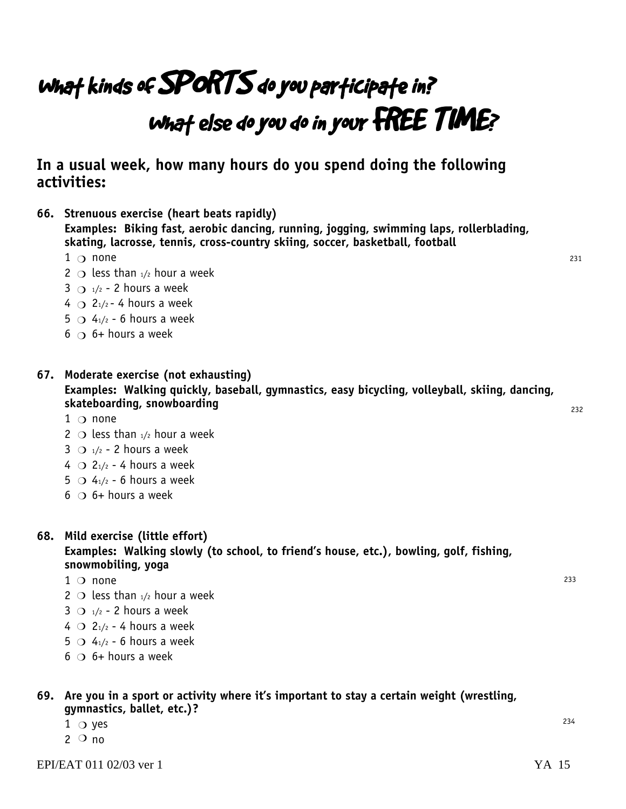## What kinds of SPORTS do you participate in? What else do you do in your FREE TIME?

**In a usual week, how many hours do you spend doing the following activities:**

- **Examples: Biking fast, aerobic dancing, running, jogging, swimming laps, rollerblading, skating, lacrosse, tennis, cross-country skiing, soccer, basketball, football**  $1$   $\circ$  none 2  $\circ$  less than  $\frac{1}{2}$  hour a week  $3 \bigcirc$   $\frac{1}{2}$  - 2 hours a week 4  $\bigcirc$  2<sub>1</sub>/<sub>2</sub> - 4 hours a week  $5 \supset 4_1/2 - 6$  hours a week  $6$   $\circ$  6+ hours a week **67. Moderate exercise (not exhausting) Examples: Walking quickly, baseball, gymnastics, easy bicycling, volleyball, skiing, dancing, skateboarding, snowboarding**
	- $1$   $\circ$  none
	- 2  $\circ$  less than  $1/2$  hour a week

**66. Strenuous exercise (heart beats rapidly)**

- $3 \bigcirc$  1/2 2 hours a week
- $4 \bigcirc 2_{1/2}$  4 hours a week
- $5 \bigcirc 4_{1/2}$  6 hours a week
- $6$   $\circ$  6+ hours a week
- **68. Mild exercise (little effort) Examples: Walking slowly (to school, to friend's house, etc.), bowling, golf, fishing, snowmobiling, yoga**
	- $1$  O none
	- 2  $\circ$  less than  $1/2$  hour a week
	- $3$   $\bigcirc$   $\frac{1}{2}$  2 hours a week
	- $4 \bigcirc 2_{1/2}$  4 hours a week
	- $5 \circ 4_{1/2}$  6 hours a week
	- $6$   $\circ$  6+ hours a week

#### **69. Are you in a sport or activity where it's important to stay a certain weight (wrestling, gymnastics, ballet, etc.)?**

- $1$   $\bigcirc$  yes
- $2^{\circ}$  no

231

232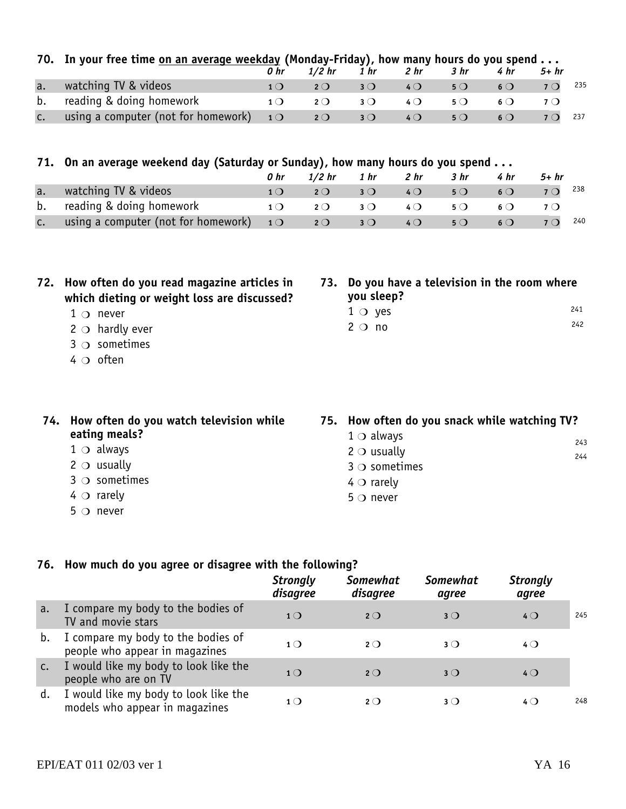|               | 70. In your free time on an average weekday (Monday-Friday), how many hours do you spend                                                                                    | 0 hr            | $1/2$ hr    | 1 hr                                                                                                                                               | 2 hr            | 3 hr                                       | 4 <sub>hr</sub> | $5+hr$      |            |
|---------------|-----------------------------------------------------------------------------------------------------------------------------------------------------------------------------|-----------------|-------------|----------------------------------------------------------------------------------------------------------------------------------------------------|-----------------|--------------------------------------------|-----------------|-------------|------------|
| a.            | watching TV & videos                                                                                                                                                        | 1 <sub>O</sub>  | $2^{\circ}$ | 3 <sub>O</sub>                                                                                                                                     | 40              | 50                                         | $6\circ$        | 7Q          | 235        |
| b.            | reading & doing homework                                                                                                                                                    | 1 <sub>O</sub>  | $2^{\circ}$ | $3^{\circ}$                                                                                                                                        | $4\Omega$       | $5^{\circ}$                                | $6\circ$        | $7^{\circ}$ |            |
| c.            | using a computer (not for homework)                                                                                                                                         | 1 <sub>O</sub>  | 2O          | $3^{\circ}$                                                                                                                                        | 40              | $5^{\circ}$                                | 60              | $7^{\circ}$ | 237        |
|               | 71. On an average weekend day (Saturday or Sunday), how many hours do you spend                                                                                             | 0 <sub>hr</sub> | $1/2$ hr    | 1 <sub>hr</sub>                                                                                                                                    | 2 <sub>hr</sub> | 3 <sub>hr</sub>                            | 4 hr            | $5+hr$      |            |
| a.            | watching TV & videos                                                                                                                                                        | 1 <sub>O</sub>  | $2^{\circ}$ | $3^{\circ}$                                                                                                                                        | 40              | $5^{\circ}$                                | 60              | $7^{\circ}$ | 238        |
| b.            | reading & doing homework                                                                                                                                                    | 1 <sub>O</sub>  | $2^{\circ}$ | $3^{\circ}$                                                                                                                                        | $4$ $\bigcirc$  | $5^{\circ}$                                | $6\circ$        | 70          |            |
| $C_{\bullet}$ | using a computer (not for homework)                                                                                                                                         | 10              | $2^{\circ}$ | $3^{\circ}$                                                                                                                                        | 40              | $5^{\circ}$                                | 60              | 7Q          | 240        |
| 72.           | How often do you read magazine articles in<br>which dieting or weight loss are discussed?<br>$1 \circ$ never<br>$2 \circ$ hardly ever<br>$3 \circ$ sometimes<br>$4$ O often |                 | 73.         | you sleep?<br>$1 \circ$ yes<br>$2 \circ n$                                                                                                         |                 | Do you have a television in the room where |                 |             | 241<br>242 |
|               | 74. How often do you watch television while<br>eating meals?<br>$1 \circ d$ always<br>$2 \circ$ usually<br>$3 \circ$ sometimes<br>$4 \circ$ rarely<br>$5$ $\circ$ never     |                 |             | 75. How often do you snack while watching TV?<br>$1 \circ$ always<br>$2 \circ$ usually<br>$3$ $\circ$ sometimes<br>$4 \circ$ rarely<br>$5$ O never |                 |                                            |                 |             | 243<br>244 |

#### **76. How much do you agree or disagree with the following?**

|    |                                                                         | <b>Strongly</b><br>disagree | <b>Somewhat</b><br>disagree | <b>Somewhat</b><br>agree | <b>Strongly</b><br>agree |     |
|----|-------------------------------------------------------------------------|-----------------------------|-----------------------------|--------------------------|--------------------------|-----|
| a. | I compare my body to the bodies of<br>TV and movie stars                | $1\bigcirc$                 | $2^{\circ}$                 | $3^{\circ}$              | $4$ $\bigcirc$           | 245 |
| b. | I compare my body to the bodies of<br>people who appear in magazines    | $1\Omega$                   | $2^{\circ}$                 | 3()                      | $4$ $\bigcirc$           |     |
| c. | I would like my body to look like the<br>people who are on TV           | $1\bigcap$                  | 2O                          | $3^{\circ}$              | $4\Omega$                |     |
| d. | I would like my body to look like the<br>models who appear in magazines | $1$ $\bigcirc$              | $2^{\circ}$                 | $3$ (                    | $4$ $\Omega$             | 248 |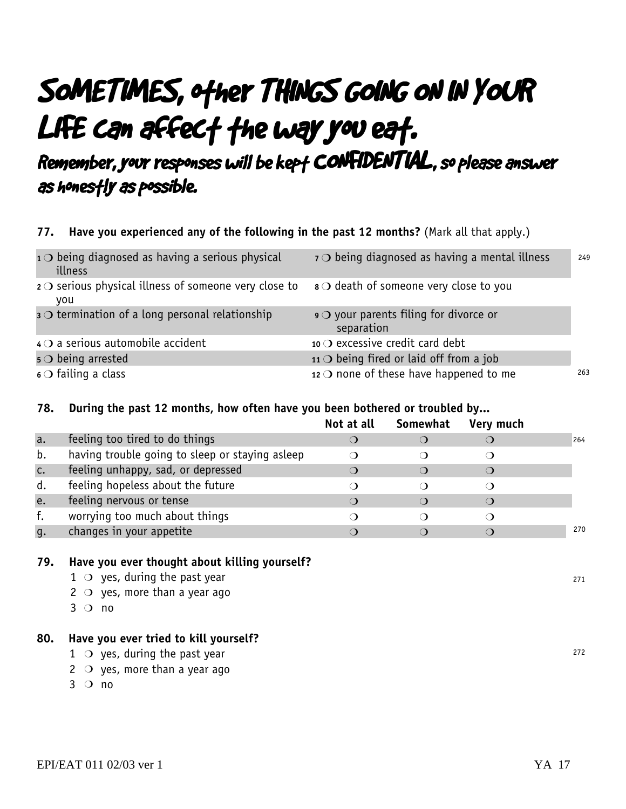## SOMETIMES, other THINGS GOING ON IN YOUR LIFE can affect the way you eat.

Remember, your responses will be kept CONFIDENTIAL, so please answer as honestly as possible.

#### **77. Have you experienced any of the following in the past 12 months?** (Mark all that apply.)

| $10$ being diagnosed as having a serious physical<br>illness         | $7$ being diagnosed as having a mental illness           | 249 |
|----------------------------------------------------------------------|----------------------------------------------------------|-----|
| $2$ $\circ$ serious physical illness of someone very close to<br>you | $\mathbf{s} \bigcirc$ death of someone very close to you |     |
| $\mathbf{s} \bigcirc$ termination of a long personal relationship    | $\circ$ your parents filing for divorce or<br>separation |     |
| $4$ O a serious automobile accident                                  | 10 $\bigcirc$ excessive credit card debt                 |     |
| $\overline{\phantom{a}}$ 5 $\overline{\phantom{a}}$ being arrested   | 11 $\bigcirc$ being fired or laid off from a job         |     |
| $\circ$ of failing a class                                           | 12 $\bigcirc$ none of these have happened to me          | 263 |

#### **78. During the past 12 months, how often have you been bothered or troubled by...**

|    |                                                 | Not at all | Somewhat | Very much |     |
|----|-------------------------------------------------|------------|----------|-----------|-----|
| a. | feeling too tired to do things                  |            |          |           | 264 |
| b. | having trouble going to sleep or staying asleep |            |          |           |     |
| c. | feeling unhappy, sad, or depressed              |            |          |           |     |
| d. | feeling hopeless about the future               |            |          |           |     |
| e. | feeling nervous or tense                        |            |          |           |     |
| f. | worrying too much about things                  |            |          |           |     |
| g. | changes in your appetite                        |            |          |           | 270 |

#### **79. Have you ever thought about killing yourself?**

- $1$   $\circ$  yes, during the past year  $2 \circ$  yes, more than a year ago
	- $3$  O no

#### **80. Have you ever tried to kill yourself?**

- $1$   $\circ$  yes, during the past year
- $2 \circ$  yes, more than a year ago
- $3$  O no

272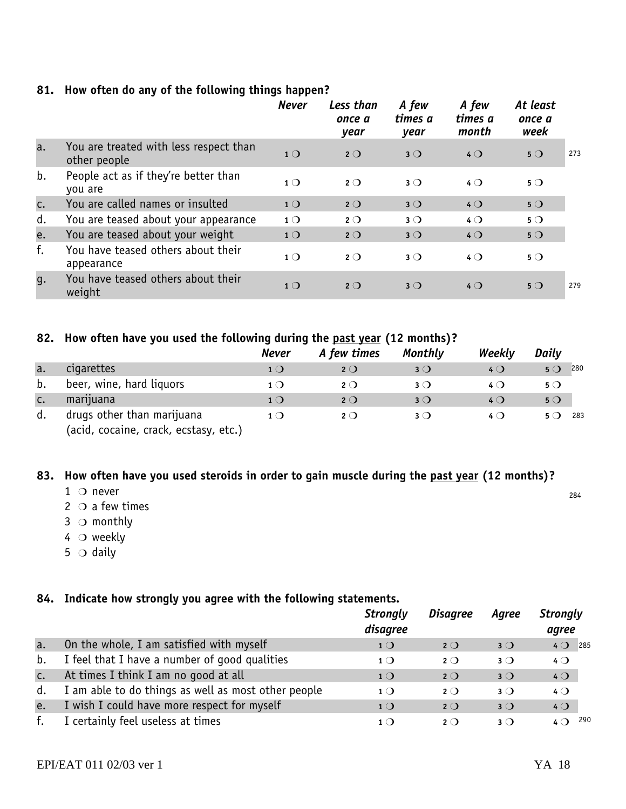|  | 81. How often do any of the following things happen? |  |  |  |  |  |
|--|------------------------------------------------------|--|--|--|--|--|
|--|------------------------------------------------------|--|--|--|--|--|

|    |                                                        | <b>Never</b>   | Less than<br>once a<br>year | A few<br>times a<br>year | A few<br>times a<br>month | At least<br>once a<br>week |     |
|----|--------------------------------------------------------|----------------|-----------------------------|--------------------------|---------------------------|----------------------------|-----|
| a. | You are treated with less respect than<br>other people | 1 <sup>O</sup> | $2^{\circ}$                 | $3^{\circ}$              | $4$ $\bigcirc$            | $5^{\circ}$                | 273 |
| b. | People act as if they're better than<br>you are        | 1 <sub>O</sub> | $2^{\circ}$                 | $3^{\circ}$              | $4$ $\bigcirc$            | $5^{\circ}$                |     |
| c. | You are called names or insulted                       | 1 <sup>O</sup> | $2^{\circ}$                 | $3^{\circ}$              | $4$ $\bigcirc$            | $5^{\circ}$                |     |
| d. | You are teased about your appearance                   | $1^{\circ}$    | $2^{\circ}$                 | $3^{\circ}$              | $4$ $\bigcirc$            | $5^{\circ}$                |     |
| e. | You are teased about your weight                       | 1 <sup>O</sup> | $2^{\circ}$                 | $3^{\circ}$              | $4$ $\bigcirc$            | $5^{\circ}$                |     |
| f. | You have teased others about their<br>appearance       | $1^{\circ}$    | $2^{\circ}$                 | $3^{\circ}$              | $4$ $\bigcirc$            | $5^{\circ}$                |     |
| q. | You have teased others about their<br>weight           | 1 <sub>O</sub> | $2^{\circ}$                 | $3^{\circ}$              | $4$ $\bigcirc$            | $5^{\circ}$                | 279 |

#### **82. How often have you used the following during the past year (12 months)?**

|    |                                                                     | Never          | A few times  | Monthly        | Weekly       | Daily       |     |
|----|---------------------------------------------------------------------|----------------|--------------|----------------|--------------|-------------|-----|
| a. | cigarettes                                                          | 1 <sub>O</sub> | $2$ O        | $3^{\circ}$    | $4$ O        | $5^{\circ}$ | 280 |
| b. | beer, wine, hard liquors                                            | $1$ $\bigcirc$ | $2^{\circ}$  | $3$ $\bigcirc$ | 4 Q          | $5^{\circ}$ |     |
| C. | marijuana                                                           | 1 <sub>O</sub> | $2^{\circ}$  | $3^{\circ}$    | $4$ O        | $5^{\circ}$ |     |
| d. | drugs other than marijuana<br>(acid, cocaine, crack, ecstasy, etc.) | $1$ ()         | $2$ $\Omega$ | $3$ $\bigcirc$ | 4 ( <b>)</b> | 5 ( )       | 283 |

#### **83. How often have you used steroids in order to gain muscle during the past year (12 months)?**

- $1$  O never
- $2$   $\circ$  a few times
- $3$   $\circ$  monthly
- $4\circ$  weekly
- 5  $\circ$  daily

#### **84. Indicate how strongly you agree with the following statements.**

|               |                                                     | <b>Strongly</b><br>disagree | <b>Disagree</b> | Agree       | <b>Strongly</b><br>agree |
|---------------|-----------------------------------------------------|-----------------------------|-----------------|-------------|--------------------------|
| a.            | On the whole, I am satisfied with myself            | 1 <sub>O</sub>              | $2^{\circ}$     | $3^{\circ}$ | $4$ O 285                |
| b.            | I feel that I have a number of good qualities       | $1$ $\bigcirc$              | $2^{\circ}$     | $3^{\circ}$ | $4$ $\bigcirc$           |
| $C_{\bullet}$ | At times I think I am no good at all                | 1 <sub>O</sub>              | $2^{\circ}$     | $3^{\circ}$ | 40                       |
| d.            | I am able to do things as well as most other people | $1^{\circ}$                 | $2^{\circ}$     | $3^{\circ}$ | $4$ $\bigcirc$           |
| e.            | I wish I could have more respect for myself         | 1 <sup>O</sup>              | $2^{\circ}$     | $3^{\circ}$ | $4$ O                    |
| f.            | I certainly feel useless at times                   | 1()                         | $2^{\circ}$     | $3^{\circ}$ | 290<br>$4$ $\Omega$      |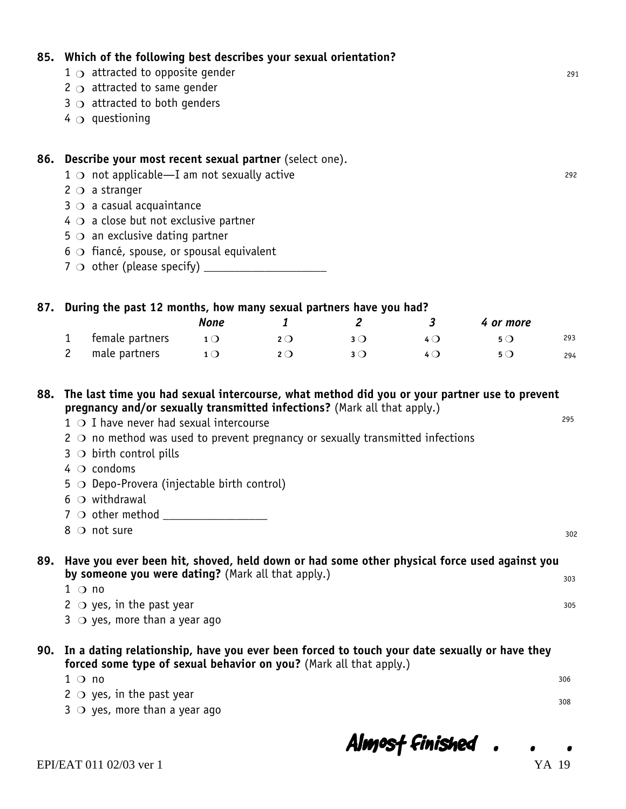#### $1 \circ$  attracted to opposite gender 2  $\circ$  attracted to same gender  $3 \circ$  attracted to both genders 4  $\odot$  questioning **86. Describe your most recent sexual partner** (select one).  $1 \circ$  not applicable—I am not sexually active  $2^{\circ}$  a stranger  $3$   $\circ$  a casual acquaintance  $4 \circ a$  close but not exclusive partner  $5 \circ$  an exclusive dating partner  $6$   $\bigcirc$  fiancé, spouse, or spousal equivalent 7 other (please specify) \_\_\_\_\_\_\_\_\_\_\_\_\_\_\_\_\_\_\_\_ m **87. During the past 12 months, how many sexual partners have you had?** *None 1 2 3 4 or more* **1** female partners **1 2 2 3 3 4 0 5 2 3 4 0 5 0 5 0 4 0 5 0 4 0 5 0 5 0 4 0 5 0 4 0 5 0 4 0 5 0 4 0 5 0 4 0 5 0 4 0 4 0 4 2** male partners **10 20 30 40 50 88. The last time you had sexual intercourse, what method did you or your partner use to prevent pregnancy and/or sexually transmitted infections?** (Mark all that apply.)  $1$   $\bigcirc$  I have never had sexual intercourse  $2 \circ$  no method was used to prevent pregnancy or sexually transmitted infections  $3$   $\circ$  birth control pills  $4$   $\circ$  condoms  $5 \circ$  Depo-Provera (injectable birth control)  $6$  O withdrawal 7 other method \_\_\_\_\_\_\_\_\_\_\_\_\_\_\_\_\_ m  $8$  O not sure **89. Have you ever been hit, shoved, held down or had some other physical force used against you by someone you were dating?** (Mark all that apply.)  $1$   $\bigcirc$  no  $2 \circ$  yes, in the past year  $3 \circ$  yes, more than a year ago **90. In a dating relationship, have you ever been forced to touch your date sexually or have they forced some type of sexual behavior on you?** (Mark all that apply.)  $1$  O no  $2 \circ$  yes, in the past year  $3 \circ$  yes, more than a year ago 291 292 293 294 295 302 303 305 306 308

**85. Which of the following best describes your sexual orientation?**

Almost Finished